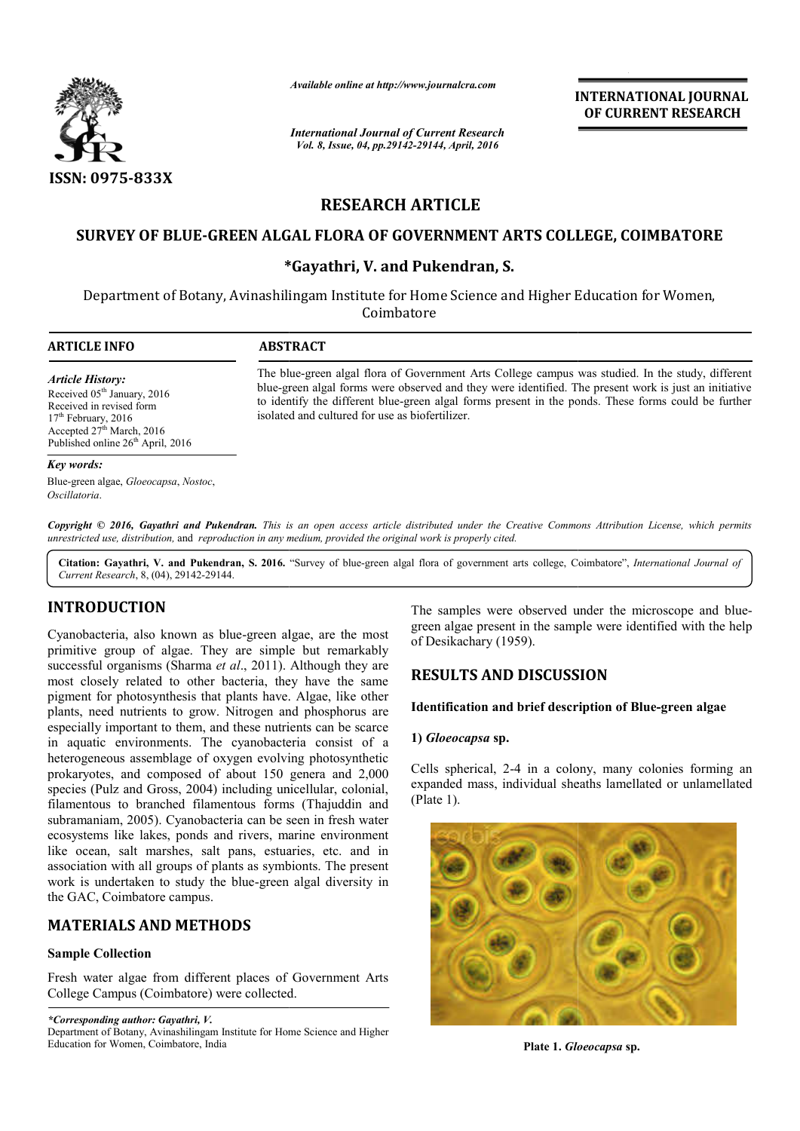

*Available online at http://www.journalcra.com*

*International Journal of Current Research Vol. 8, Issue, 04, pp.29142-29144, April, 2016*

**INTERNATIONAL JOURNAL OF CURRENT RESEARCH** 

# **RESEARCH ARTICLE**

# **SURVEY OF BLUE-GREEN ALGAL FLORA OF GOVERNMENT ARTS COLLEGE, COIMBATORE GREEN \*Gayathri, V. and Pukendran, S.**

# **\***

Department of Botany, Avinashilingam Institute for Home Science and Higher Education for Women, Coimbatore

 $\overline{a}$ 

#### **ARTICLE INFO ABSTRACT**

*Article History:* Received 05<sup>th</sup> January, 2016 Received in revised form  $17<sup>th</sup>$  February, 2016 Accepted  $27<sup>th</sup>$  March, 2016 Published online 26<sup>th</sup> April, 2016

The blue blue-green algal flora of Government Arts College campus was studied. In the study, different The blue-green algal flora of Government Arts College campus was studied. In the study, different blue-green algal forms were observed and they were identified. The present work is just an initiative blue-green algal forms were observed and they were identified. The present work is just an initiative to identify the different blue-green algal forms present in the ponds. These forms could be further isolated and cultured for use as biofertilizer.

#### *Key words:*

Blue-green algae, *Gloeocapsa*, *Nostoc*, *Oscillatoria*.

Copyright © 2016, Gayathri and Pukendran. This is an open access article distributed under the Creative Commons Attribution License, which permits *unrestricted use, distribution,* and *reproduction in any medium, provided the original work is properly cited.*

Citation: Gayathri, V. and Pukendran, S. 2016. "Survey of blue-green algal flora of government arts college, Coimbatore", *International Journal of Current Research*, 8, (04), 29142-29144.

#### **INTRODUCTION**

Cyanobacteria, also known as blue-green algae, are the most primitive group of algae. They are simple but remarkably successful organisms (Sharma *et al*., 2011). Although they are most closely related to other bacteria, they have the same pigment for photosynthesis that plants have. Algae, like other plants, need nutrients to grow. Nitrogen and phosphorus are especially important to them, and these nutrients can be scarce in aquatic environments. The cyanobacteria consist of a heterogeneous assemblage of oxygen evolving photosynthetic prokaryotes, and composed of about 150 genera and 2,000 species (Pulz and Gross, 2004) including unicellular, colonial, filamentous to branched filamentous forms (Thajuddin and subramaniam, 2005). Cyanobacteria can be seen in fresh water ecosystems like lakes, ponds and rivers, marine environment like ocean, salt marshes, salt pans, estuaries, etc. and in association with all groups of plants as symbionts. The present work is undertaken to study the blue-green algal diversity in the GAC, Coimbatore campus. by known as blue-green algae, are the most f algae. They are simple but remarkably has (Sharma *et al.*, 2011). Although they are ed to other bacteria, they have the same ynthesis that plants have. Algae, like other that The samples were observed under the microscope and blue<br>simple but remarkably<br>of Desikachary (1959).<br>The sample were identified with the help<br>of Discussical properties are the sample were identified with the help<br>of Discus

# **MATERIALS AND METHODS**

#### **Sample Collection**

Fresh water algae from different places of Government Arts College Campus (Coimbatore) were collected.

*\*Corresponding author: Gayathri, V.* 

green algae present in the sample were identified with the help of Desikachary (1959). The samples were observed under the microscope and blue-

#### **RESULTS AND DISCUSSION**

#### **Identification and brief description of Blue Blue-green algae**

#### **1)** *Gloeocapsa* **sp.**

Cells spherical, 2-4 in a colony, many colonies forming an expanded mass, individual sheaths lamellated or unlamellated (Plate 1).



**Plate 1.** *Gloeocapsa* **sp.**

Department of Botany, Avinashilingam Institute for Home Science and Higher Education for Women, Coimbatore, India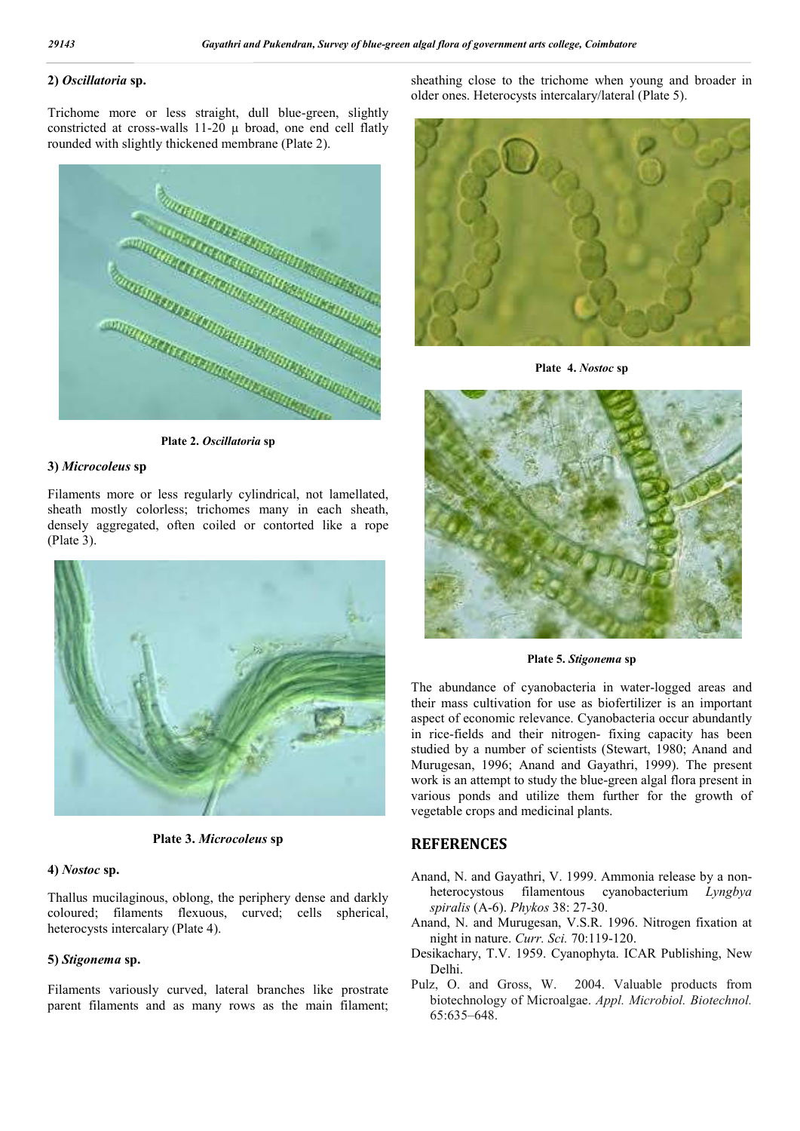### **2)** *Oscillatoria* **sp.**

Trichome more or less straight, dull blue-green, slightly constricted at cross-walls 11-20 µ broad, one end cell flatly rounded with slightly thickened membrane (Plate 2).



**Plate 2.** *Oscillatoria* **sp**

## **3)** *Microcoleus* **sp**

Filaments more or less regularly cylindrical, not lamellated, sheath mostly colorless; trichomes many in each sheath, densely aggregated, often coiled or contorted like a rope (Plate 3).





#### **4)** *Nostoc* **sp.**

Thallus mucilaginous, oblong, the periphery dense and darkly coloured; filaments flexuous, curved; cells spherical, heterocysts intercalary (Plate 4).

#### **5)** *Stigonema* **sp.**

Filaments variously curved, lateral branches like prostrate parent filaments and as many rows as the main filament; sheathing close to the trichome when young and broader in older ones. Heterocysts intercalary/lateral (Plate 5).



**Plate 4.** *Nostoc* **sp**



**Plate 5.** *Stigonema* **sp**

The abundance of cyanobacteria in water-logged areas and their mass cultivation for use as biofertilizer is an important aspect of economic relevance. Cyanobacteria occur abundantly in rice-fields and their nitrogen- fixing capacity has been studied by a number of scientists (Stewart, 1980; Anand and Murugesan, 1996; Anand and Gayathri, 1999). The present work is an attempt to study the blue-green algal flora present in various ponds and utilize them further for the growth of vegetable crops and medicinal plants.

# **REFERENCES**

Anand, N. and Gayathri, V. 1999. Ammonia release by a nonheterocystous filamentous cyanobacterium *Lyngbya spiralis* (A-6). *Phykos* 38: 27-30.

- Anand, N. and Murugesan, V.S.R. 1996. Nitrogen fixation at night in nature. *Curr. Sci.* 70:119-120.
- Desikachary, T.V. 1959. Cyanophyta. ICAR Publishing, New Delhi.
- Pulz, O. and Gross, W. 2004. Valuable products from biotechnology of Microalgae. *Appl. Microbiol. Biotechnol.* 65:635–648.